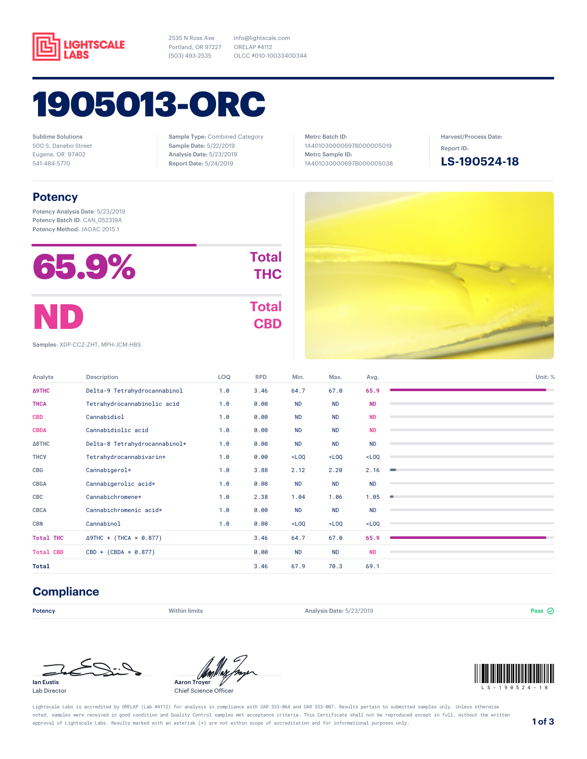

2535 N Ross Ave Portland, OR 97227 (503) 493-2535

info@lightscale.com ORELAP #4112 OLCC #010-1003340D344

# 1905013-ORC

Sublime Solutions 500 S. Danebo Street Eugene, OR 97402 541-484-5770

Sample Type: Combined Category Sample Date: 5/22/2019 Analysis Date: 5/23/2019 Report Date: 5/24/2019

Metrc Batch ID: 1A401030000697B000005019 Metrc Sample ID: 1A401030000697B000005038 Harvest/Process Date: Report ID:

**LS-190524-18**

### **Potency**

Potency Analysis Date: 5/23/2019 Potency Batch ID: CAN\_052319A Potency Method: JAOAC 2015.1

| 65.9% | <b>Total</b><br><b>THC</b> |
|-------|----------------------------|
| ND    | <b>Total</b><br><b>CBD</b> |



Samples: XDP-CCZ-ZHT, MPH-JCM-HBS

| Analyte          | Description                    | LOQ | <b>RPD</b> | Min.      | Max.      | Avg.      | Unit: % |
|------------------|--------------------------------|-----|------------|-----------|-----------|-----------|---------|
| Δ9THC            | Delta-9 Tetrahydrocannabinol   | 1.0 | 3.46       | 64.7      | 67.0      | 65.9      |         |
| <b>THCA</b>      | Tetrahydrocannabinolic acid    | 1.0 | 0.00       | <b>ND</b> | <b>ND</b> | <b>ND</b> |         |
| <b>CBD</b>       | Cannabidiol                    | 1.0 | 0.00       | <b>ND</b> | <b>ND</b> | <b>ND</b> |         |
| <b>CBDA</b>      | Cannabidiolic acid             | 1.0 | 0.00       | <b>ND</b> | <b>ND</b> | <b>ND</b> |         |
| $\Delta$ 8THC    | Delta-8 Tetrahydrocannabinol*  | 1.0 | 0.00       | <b>ND</b> | <b>ND</b> | <b>ND</b> |         |
| <b>THCV</b>      | Tetrahydrocannabivarin*        | 1.0 | 0.00       | $<$ LOQ   | $<$ LOQ   | $<$ LOQ   |         |
| CBG              | Cannabigerol*                  | 1.0 | 3.88       | 2.12      | 2.20      | 2.16      | $\sim$  |
| <b>CBGA</b>      | Cannabigerolic acid*           | 1.0 | 0.00       | <b>ND</b> | <b>ND</b> | <b>ND</b> |         |
| CBC              | Cannabichromene*               | 1.0 | 2.38       | 1.04      | 1.06      | 1.05      | 0       |
| <b>CBCA</b>      | Cannabichromenic acid*         | 1.0 | 0.00       | <b>ND</b> | <b>ND</b> | <b>ND</b> |         |
| <b>CBN</b>       | Cannabinol                     | 1.0 | 0.00       | $<$ LOQ   | $<$ LOQ   | $<$ LOQ   |         |
| <b>Total THC</b> | $\Delta$ 9THC + (THCA × 0.877) |     | 3.46       | 64.7      | 67.0      | 65.9      |         |
| <b>Total CBD</b> | $CBD + (CBDA \times 0.877)$    |     | 0.00       | <b>ND</b> | <b>ND</b> | <b>ND</b> |         |
| Total            |                                |     | 3.46       | 67.9      | 70.3      | 69.1      |         |

### **Compliance**

**Potency Example 3 Pass** Within limits **Analysis Date: 5/23/2019 Pass**  $\odot$  **Pass**  $\odot$ 



Lab Director



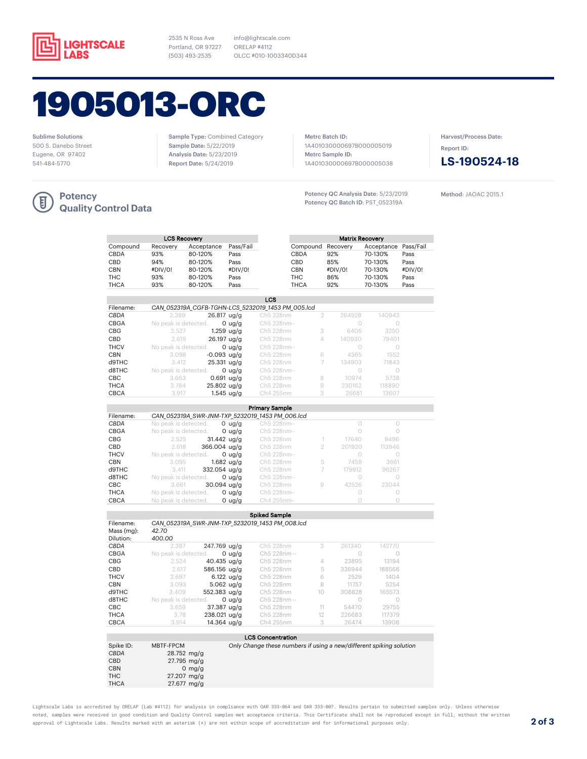

2535 N Ross Ave Portland, OR 97227 (503) 493-2535

info@lightscale.com ORELAP #4112 OLCC #010-1003340D344

# 1905013-ORC

Sublime Solutions 500 S. Danebo Street Eugene, OR 97402 541-484-5770

Sample Type: Combined Category Sample Date: 5/22/2019 Analysis Date: 5/23/2019 Report Date: 5/24/2019

Metrc Batch ID: 1A401030000697B000005019 Metrc Sample ID: 1A401030000697B000005038

Potency QC Analysis Date: 5/23/2019 Potency QC Batch ID: PST\_052319A

Harvest/Process Date: Report ID:



Method: JAOAC 2015.1



#### **Potency Quality Control Data**

| <b>LCS Recovery</b> |                                                   |            |           |            |                   |         | <b>Matrix Recovery</b> |         |  |
|---------------------|---------------------------------------------------|------------|-----------|------------|-------------------|---------|------------------------|---------|--|
| Compound            | Recovery                                          | Acceptance | Pass/Fail |            | Compound Recovery |         | Acceptance Pass/Fail   |         |  |
| CBDA                | 93%                                               | 80-120%    | Pass      |            | <b>CBDA</b>       | 92%     | 70-130%                | Pass    |  |
| CBD                 | 94%                                               | 80-120%    | Pass      |            | CBD               | 85%     | 70-130%                | Pass    |  |
| CBN                 | #DIV/0!                                           | 80-120%    | #DIV/0!   |            | <b>CBN</b>        | #DIV/0! | 70-130%                | #DIV/0! |  |
| ТНС                 | 93%                                               | 80-120%    | Pass      |            | THC               | 86%     | 70-130%                | Pass    |  |
| THCA                | 93%                                               | 80-120%    | Pass      |            | <b>THCA</b>       | 92%     | 70-130%                | Pass    |  |
|                     |                                                   |            |           |            |                   |         |                        |         |  |
|                     |                                                   |            |           | <b>LCS</b> |                   |         |                        |         |  |
| Filename:           | CAN 052319A CGFB-TGHN-LCS 5232019 1453 PM 005.lcd |            |           |            |                   |         |                        |         |  |
|                     |                                                   |            |           |            |                   |         |                        |         |  |

| Filename:   |                      |               | CAIN USZSIYA CUFB-TUHIN-LCS SZSZUTY 1493 PM UUS.ICU |   |        |        |  |
|-------------|----------------------|---------------|-----------------------------------------------------|---|--------|--------|--|
| CBDA        | 2.389                | $26.817$ ug/g | Ch5 228nm                                           | 2 | 264928 | 140943 |  |
| <b>CBGA</b> | No peak is detected. | 0 $\mu$ g/g   | Ch5 228nm--                                         |   |        |        |  |
| <b>CBG</b>  | 2.527                | $1.259$ ug/g  | Ch5 228nm                                           | 3 | 6406   | 3250   |  |
| CBD         | 2.619                | $26.197$ ug/g | Ch5 228nm                                           | 4 | 140930 | 79401  |  |
| <b>THCV</b> | No peak is detected. | $0$ ua/a      | Ch5 228nm--                                         |   |        |        |  |
| CBN         | 3.098                | $-0.093$ ua/a | Ch5 228nm                                           | 6 | 4365   | 1552   |  |
| d9THC       | 3.412                | $25.331$ ug/g | Ch5 228nm                                           |   | 134903 | 71843  |  |
| d8THC       | No peak is detected. | $0$ ua/a      | Ch5 228nm--                                         |   | O      |        |  |
| CBC.        | 3.663                | $0.691$ ug/g  | Ch5 228nm                                           | 8 | 10974  | 5738   |  |
| <b>THCA</b> | 3.784                | $25.802$ ug/g | Ch5 228nm                                           | 9 | 230162 | 118890 |  |
| <b>CBCA</b> | 3.917                | $1.545$ ug/g  | Ch4 255nm                                           | 3 | 26681  | 13607  |  |
|             |                      |               |                                                     |   |        |        |  |
|             |                      |               | <b>Primary Sample</b>                               |   |        |        |  |

| <b>Primary Sample</b> |                                                 |             |   |        |        |  |
|-----------------------|-------------------------------------------------|-------------|---|--------|--------|--|
| Filename:             | CAN 052319A SWR-JNM-TXP 5232019 1453 PM 006.lcd |             |   |        |        |  |
| CBDA                  | No peak is detected.<br>0 $\frac{u}{g}$         | Ch5 228nm-- |   |        |        |  |
| CBGA                  | No peak is detected.<br>0 $\mu$ g/g             | Ch5 228nm-- |   |        |        |  |
| <b>CBG</b>            | 2.525<br>$31.442$ ua/a                          | Ch5 228nm   |   | 17640  | 9496   |  |
| <b>CBD</b>            | 2.618<br>366.004 ua/a                           | Ch5 228nm   |   | 201920 | 113946 |  |
| <b>THCV</b>           | No peak is detected.<br>$0 \text{ u}g/g$        | Ch5 228nm-- |   |        |        |  |
| <b>CBN</b>            | $1.682$ ua/a<br>3.095                           | Ch5 228nm   | 5 | 7459   | 3661   |  |
| d9THC                 | $332.054$ ua/a<br>3.411                         | Ch5 228nm   |   | 179912 | 96267  |  |
| d8THC                 | No peak is detected.<br>0 $\mu$ g/g             | Ch5 228nm-- |   | $\cup$ | O      |  |
| <b>CBC</b>            | $30.094$ ua/a<br>3.661                          | Ch5 228nm   | 9 | 42526  | 23044  |  |
| <b>THCA</b>           | No peak is detected.<br>0 $\mu$ g/g             | Ch5 228nm-- |   |        |        |  |
| CBCA                  | No peak is detected.<br>0 $\mu$ g/g             | Ch4 255nm-  |   |        |        |  |
|                       |                                                 |             |   |        |        |  |

|             |                                                 |                     | <b>Spiked Sample</b> |    |            |        |  |
|-------------|-------------------------------------------------|---------------------|----------------------|----|------------|--------|--|
| Filename:   | CAN 052319A SWR-JNM-TXP 5232019 1453 PM 008.lcd |                     |                      |    |            |        |  |
| Mass (mg):  | 42.70                                           |                     |                      |    |            |        |  |
| Dilution:   | 400.00                                          |                     |                      |    |            |        |  |
| CBDA        | 2.387                                           | 247.769 ug/g        | Ch5 228nm            | 3  | 261340     | 142770 |  |
| <b>CBGA</b> | No peak is detected.                            | 0 $\mu$ g/g         | Ch5 228nm --         |    | $\bigcirc$ | 0      |  |
| CBG.        | 2.524                                           | $40.435$ ug/g       | Ch5 228nm            | 4  | 23895      | 13194  |  |
| CBD         | 2.617                                           | 586.156 ua/a        | Ch5 228nm            | 5  | 336944     | 188568 |  |
| <b>THCV</b> | 2.697                                           | 6.122 $\frac{u}{g}$ | Ch5 228nm            | 6  | 2529       | 1404   |  |
| CBN         | 3.093                                           | $5.062$ ug/g        | Ch5 228nm            | 8  | 11757      | 5254   |  |
| d9THC       | 3.409                                           | 552.383 ua/a        | Ch5 228nm            | 10 | 308828     | 165573 |  |
| $d$ 8THC    | No peak is detected.                            | 0 $\frac{u}{g}$     | Ch5 228nm --         |    | Ω          | O      |  |
| CBC.        | 3.659                                           | $37.387$ ug/g       | Ch5 228nm            | 11 | 54470      | 29755  |  |
| <b>THCA</b> | 3.78                                            | 238.021 ug/g        | Ch5 228nm            | 12 | 226683     | 117379 |  |
| <b>CBCA</b> | 3.914                                           | 14.364 ua/a         | Ch4 255nm            | 3  | 26474      | 13908  |  |

|             |                       | .                                                                   |
|-------------|-----------------------|---------------------------------------------------------------------|
|             |                       |                                                                     |
|             |                       | <b>LCS Concentration</b>                                            |
| Spike ID:   | MBTF-FPCM             | Only Change these numbers if using a new/different spiking solution |
| CBDA        | $28.752 \text{ mg/g}$ |                                                                     |
| <b>CBD</b>  | $27.795$ mg/g         |                                                                     |
| <b>CBN</b>  | 0 mg/g                |                                                                     |
| THC         | $27.207$ mg/g         |                                                                     |
| <b>THCA</b> | $27.677$ mg/g         |                                                                     |
|             |                       |                                                                     |

Lightscale Labs is accredited by ORELAP (Lab #4112) for analysis in compliance with OAR 333-064 and OAR 333-007. Results pertain to submitted samples only. Unless otherwise noted, samples were received in good condition and Quality Control samples met acceptance criteria. This Certificate shall not be reproduced except in full, without the written approval of Lightscale Labs. Results marked with an asterisk (\*) are not within scope of accreditation and for informational purposes only. **2 of 3**